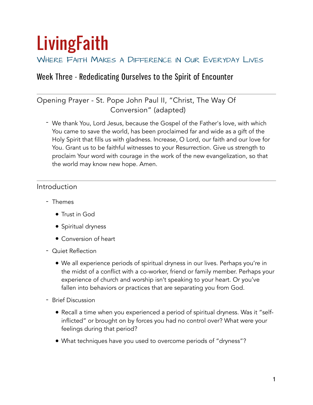# **LivingFaith**

# WHERE FAITH MAKES A DIFFERENCE IN OUR EVERYDAY LIVES

# Week Three - Rededicating Ourselves to the Spirit of Encounter

# Opening Prayer - St. Pope John Paul II, "Christ, The Way Of Conversion" (adapted)

- We thank You, Lord Jesus, because the Gospel of the Father's love, with which You came to save the world, has been proclaimed far and wide as a gift of the Holy Spirit that fills us with gladness. Increase, O Lord, our faith and our love for You. Grant us to be faithful witnesses to your Resurrection. Give us strength to proclaim Your word with courage in the work of the new evangelization, so that the world may know new hope. Amen.

# Introduction

- Themes
	- Trust in God
	- Spiritual dryness
	- Conversion of heart
- Quiet Reflection
	- We all experience periods of spiritual dryness in our lives. Perhaps you're in the midst of a conflict with a co-worker, friend or family member. Perhaps your experience of church and worship isn't speaking to your heart. Or you've fallen into behaviors or practices that are separating you from God.
- Brief Discussion
	- Recall a time when you experienced a period of spiritual dryness. Was it "selfinflicted" or brought on by forces you had no control over? What were your feelings during that period?
	- What techniques have you used to overcome periods of "dryness"?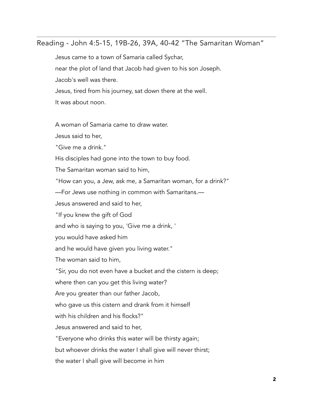#### Reading - John 4:5-15, 19B-26, 39A, 40-42 "The Samaritan Woman"

Jesus came to a town of Samaria called Sychar,

near the plot of land that Jacob had given to his son Joseph.

Jacob's well was there.

Jesus, tired from his journey, sat down there at the well.

It was about noon.

A woman of Samaria came to draw water.

Jesus said to her,

"Give me a drink."

His disciples had gone into the town to buy food.

The Samaritan woman said to him,

"How can you, a Jew, ask me, a Samaritan woman, for a drink?"

—For Jews use nothing in common with Samaritans.—

Jesus answered and said to her,

"If you knew the gift of God

and who is saying to you, 'Give me a drink, '

you would have asked him

and he would have given you living water."

The woman said to him,

"Sir, you do not even have a bucket and the cistern is deep;

where then can you get this living water?

Are you greater than our father Jacob,

who gave us this cistern and drank from it himself

with his children and his flocks?"

Jesus answered and said to her,

"Everyone who drinks this water will be thirsty again;

but whoever drinks the water I shall give will never thirst;

the water I shall give will become in him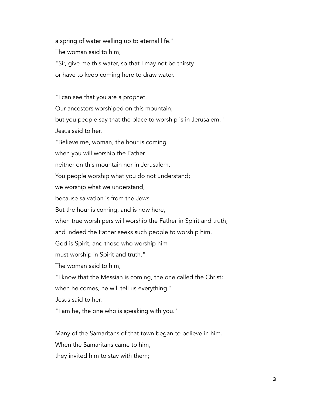a spring of water welling up to eternal life." The woman said to him, "Sir, give me this water, so that I may not be thirsty or have to keep coming here to draw water.

"I can see that you are a prophet. Our ancestors worshiped on this mountain; but you people say that the place to worship is in Jerusalem."

Jesus said to her,

"Believe me, woman, the hour is coming

when you will worship the Father

neither on this mountain nor in Jerusalem.

You people worship what you do not understand;

we worship what we understand,

because salvation is from the Jews.

But the hour is coming, and is now here,

when true worshipers will worship the Father in Spirit and truth;

and indeed the Father seeks such people to worship him.

God is Spirit, and those who worship him

must worship in Spirit and truth."

The woman said to him,

"I know that the Messiah is coming, the one called the Christ;

when he comes, he will tell us everything."

Jesus said to her,

"I am he, the one who is speaking with you."

Many of the Samaritans of that town began to believe in him.

When the Samaritans came to him,

they invited him to stay with them;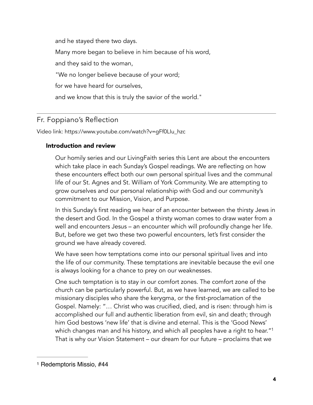and he stayed there two days. Many more began to believe in him because of his word, and they said to the woman, "We no longer believe because of your word; for we have heard for ourselves, and we know that this is truly the savior of the world."

# Fr. Foppiano's Reflection

Video link: [https://www.youtube.com/watch?v=gFf0LIu\\_hzc](https://www.youtube.com/watch?v=gFf0LIu_hzc)

#### Introduction and review

Our homily series and our LivingFaith series this Lent are about the encounters which take place in each Sunday's Gospel readings. We are reflecting on how these encounters effect both our own personal spiritual lives and the communal life of our St. Agnes and St. William of York Community. We are attempting to grow ourselves and our personal relationship with God and our community's commitment to our Mission, Vision, and Purpose.

In this Sunday's first reading we hear of an encounter between the thirsty Jews in the desert and God. In the Gospel a thirsty woman comes to draw water from a well and encounters Jesus – an encounter which will profoundly change her life. But, before we get two these two powerful encounters, let's first consider the ground we have already covered.

We have seen how temptations come into our personal spiritual lives and into the life of our community. These temptations are inevitable because the evil one is always looking for a chance to prey on our weaknesses.

<span id="page-3-1"></span>One such temptation is to stay in our comfort zones. The comfort zone of the church can be particularly powerful. But, as we have learned, we are called to be missionary disciples who share the kerygma, or the first-proclamation of the Gospel. Namely: "… Christ who was crucified, died, and is risen: through him is accomplished our full and authentic liberation from evil, sin and death; through him God bestows 'new life' that is divine and eternal. This is the 'Good News' which changes man and his history, and which all peoples have a right to hear."<sup>1</sup> That is why our Vision Statement – our dream for our future – proclaims that we

<span id="page-3-0"></span>[<sup>1</sup>](#page-3-1) Redemptoris Missio, #44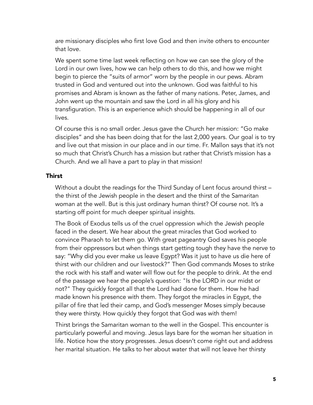are missionary disciples who first love God and then invite others to encounter that love.

We spent some time last week reflecting on how we can see the glory of the Lord in our own lives, how we can help others to do this, and how we might begin to pierce the "suits of armor" worn by the people in our pews. Abram trusted in God and ventured out into the unknown. God was faithful to his promises and Abram is known as the father of many nations. Peter, James, and John went up the mountain and saw the Lord in all his glory and his transfiguration. This is an experience which should be happening in all of our lives.

Of course this is no small order. Jesus gave the Church her mission: "Go make disciples" and she has been doing that for the last 2,000 years. Our goal is to try and live out that mission in our place and in our time. Fr. Mallon says that it's not so much that Christ's Church has a mission but rather that Christ's mission has a Church. And we all have a part to play in that mission!

#### Thirst

Without a doubt the readings for the Third Sunday of Lent focus around thirst – the thirst of the Jewish people in the desert and the thirst of the Samaritan woman at the well. But is this just ordinary human thirst? Of course not. It's a starting off point for much deeper spiritual insights.

The Book of Exodus tells us of the cruel oppression which the Jewish people faced in the desert. We hear about the great miracles that God worked to convince Pharaoh to let them go. With great pageantry God saves his people from their oppressors but when things start getting tough they have the nerve to say: "Why did you ever make us leave Egypt? Was it just to have us die here of thirst with our children and our livestock?" Then God commands Moses to strike the rock with his staff and water will flow out for the people to drink. At the end of the passage we hear the people's question: "Is the LORD in our midst or not?" They quickly forgot all that the Lord had done for them. How he had made known his presence with them. They forgot the miracles in Egypt, the pillar of fire that led their camp, and God's messenger Moses simply because they were thirsty. How quickly they forgot that God was with them!

Thirst brings the Samaritan woman to the well in the Gospel. This encounter is particularly powerful and moving. Jesus lays bare for the woman her situation in life. Notice how the story progresses. Jesus doesn't come right out and address her marital situation. He talks to her about water that will not leave her thirsty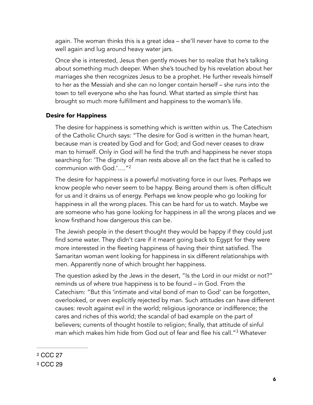again. The woman thinks this is a great idea – she'll never have to come to the well again and lug around heavy water jars.

Once she is interested, Jesus then gently moves her to realize that he's talking about something much deeper. When she's touched by his revelation about her marriages she then recognizes Jesus to be a prophet. He further reveals himself to her as the Messiah and she can no longer contain herself – she runs into the town to tell everyone who she has found. What started as simple thirst has brought so much more fulfillment and happiness to the woman's life.

#### Desire for Happiness

The desire for happiness is something which is written within us. The Catechism of the Catholic Church says: "The desire for God is written in the human heart, because man is created by God and for God; and God never ceases to draw man to himself. Only in God will he find the truth and happiness he never stops searching for: 'The dignity of man rests above all on the fact that he is called to communion with God.'….["2](#page-5-0)

<span id="page-5-2"></span>The desire for happiness is a powerful motivating force in our lives. Perhaps we know people who never seem to be happy. Being around them is often difficult for us and it drains us of energy. Perhaps we know people who go looking for happiness in all the wrong places. This can be hard for us to watch. Maybe we are someone who has gone looking for happiness in all the wrong places and we know firsthand how dangerous this can be.

The Jewish people in the desert thought they would be happy if they could just find some water. They didn't care if it meant going back to Egypt for they were more interested in the fleeting happiness of having their thirst satisfied. The Samaritan woman went looking for happiness in six different relationships with men. Apparently none of which brought her happiness.

<span id="page-5-3"></span>The question asked by the Jews in the desert, "Is the Lord in our midst or not?" reminds us of where true happiness is to be found – in God. From the Catechism: "But this 'intimate and vital bond of man to God' can be forgotten, overlooked, or even explicitly rejected by man. Such attitudes can have different causes: revolt against evil in the world; religious ignorance or indifference; the cares and riches of this world; the scandal of bad example on the part of believers; currents of thought hostile to religion; finally, that attitude of sinful man which makes him hide from God out of fear and flee his call."<sup>[3](#page-5-1)</sup> Whatever

<span id="page-5-0"></span>[<sup>2</sup>](#page-5-2) CCC 27

<span id="page-5-1"></span>[<sup>3</sup>](#page-5-3) CCC 29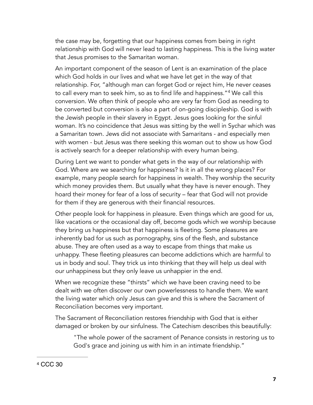the case may be, forgetting that our happiness comes from being in right relationship with God will never lead to lasting happiness. This is the living water that Jesus promises to the Samaritan woman.

<span id="page-6-1"></span>An important component of the season of Lent is an examination of the place which God holds in our lives and what we have let get in the way of that relationship. For, "although man can forget God or reject him, He never ceases to call every man to seek him, so as to find life and happiness."<sup>[4](#page-6-0)</sup> We call this conversion. We often think of people who are very far from God as needing to be converted but conversion is also a part of on-going discipleship. God is with the Jewish people in their slavery in Egypt. Jesus goes looking for the sinful woman. It's no coincidence that Jesus was sitting by the well in Sychar which was a Samaritan town. Jews did not associate with Samaritans - and especially men with women - but Jesus was there seeking this woman out to show us how God is actively search for a deeper relationship with every human being.

During Lent we want to ponder what gets in the way of our relationship with God. Where are we searching for happiness? Is it in all the wrong places? For example, many people search for happiness in wealth. They worship the security which money provides them. But usually what they have is never enough. They hoard their money for fear of a loss of security – fear that God will not provide for them if they are generous with their financial resources.

Other people look for happiness in pleasure. Even things which are good for us, like vacations or the occasional day off, become gods which we worship because they bring us happiness but that happiness is fleeting. Some pleasures are inherently bad for us such as pornography, sins of the flesh, and substance abuse. They are often used as a way to escape from things that make us unhappy. These fleeting pleasures can become addictions which are harmful to us in body and soul. They trick us into thinking that they will help us deal with our unhappiness but they only leave us unhappier in the end.

When we recognize these "thirsts" which we have been craving need to be dealt with we often discover our own powerlessness to handle them. We want the living water which only Jesus can give and this is where the Sacrament of Reconciliation becomes very important.

The Sacrament of Reconciliation restores friendship with God that is either damaged or broken by our sinfulness. The Catechism describes this beautifully:

"The whole power of the sacrament of Penance consists in restoring us to God's grace and joining us with him in an intimate friendship."

<span id="page-6-0"></span>[<sup>4</sup>](#page-6-1) CCC 30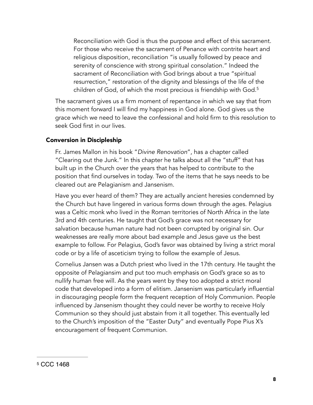<span id="page-7-1"></span>Reconciliation with God is thus the purpose and effect of this sacrament. For those who receive the sacrament of Penance with contrite heart and religious disposition, reconciliation "is usually followed by peace and serenity of conscience with strong spiritual consolation." Indeed the sacrament of Reconciliation with God brings about a true "spiritual resurrection," restoration of the dignity and blessings of the life of the children of God, of which the most precious is friendship with God.<sup>[5](#page-7-0)</sup>

The sacrament gives us a firm moment of repentance in which we say that from this moment forward I will find my happiness in God alone. God gives us the grace which we need to leave the confessional and hold firm to this resolution to seek God first in our lives.

#### Conversion in Discipleship

Fr. James Mallon in his book "*Divine Renovation*", has a chapter called "Clearing out the Junk." In this chapter he talks about all the "stuff" that has built up in the Church over the years that has helped to contribute to the position that find ourselves in today. Two of the items that he says needs to be cleared out are Pelagianism and Jansenism.

Have you ever heard of them? They are actually ancient heresies condemned by the Church but have lingered in various forms down through the ages. Pelagius was a Celtic monk who lived in the Roman territories of North Africa in the late 3rd and 4th centuries. He taught that God's grace was not necessary for salvation because human nature had not been corrupted by original sin. Our weaknesses are really more about bad example and Jesus gave us the best example to follow. For Pelagius, God's favor was obtained by living a strict moral code or by a life of asceticism trying to follow the example of Jesus.

Cornelius Jansen was a Dutch priest who lived in the 17th century. He taught the opposite of Pelagiansim and put too much emphasis on God's grace so as to nullify human free will. As the years went by they too adopted a strict moral code that developed into a form of elitism. Jansenism was particularly influential in discouraging people form the frequent reception of Holy Communion. People influenced by Jansenism thought they could never be worthy to receive Holy Communion so they should just abstain from it all together. This eventually led to the Church's imposition of the "Easter Duty" and eventually Pope Pius X's encouragement of frequent Communion.

<span id="page-7-0"></span>[<sup>5</sup>](#page-7-1) CCC 1468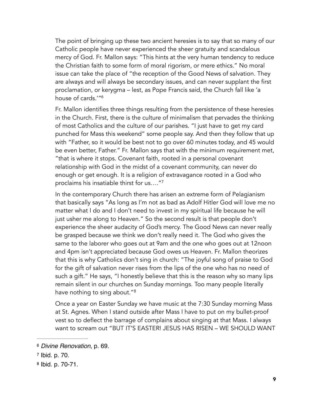The point of bringing up these two ancient heresies is to say that so many of our Catholic people have never experienced the sheer gratuity and scandalous mercy of God. Fr. Mallon says: "This hints at the very human tendency to reduce the Christian faith to some form of moral rigorism, or mere ethics." No moral issue can take the place of "the reception of the Good News of salvation. They are always and will always be secondary issues, and can never supplant the first proclamation, or kerygma – lest, as Pope Francis said, the Church fall like 'a house of cards.'["6](#page-8-0)

<span id="page-8-3"></span>Fr. Mallon identifies three things resulting from the persistence of these heresies in the Church. First, there is the culture of minimalism that pervades the thinking of most Catholics and the culture of our parishes. "I just have to get my card punched for Mass this weekend" some people say. And then they follow that up with "Father, so it would be best not to go over 60 minutes today, and 45 would be even better, Father." Fr. Mallon says that with the minimum requirement met, "that is where it stops. Covenant faith, rooted in a personal covenant relationship with God in the midst of a covenant community, can never do enough or get enough. It is a religion of extravagance rooted in a God who proclaims his insatiable thirst for us….["7](#page-8-1)

<span id="page-8-4"></span>In the contemporary Church there has arisen an extreme form of Pelagianism that basically says "As long as I'm not as bad as Adolf Hitler God will love me no matter what I do and I don't need to invest in my spiritual life because he will just usher me along to Heaven." So the second result is that people don't experience the sheer audacity of God's mercy. The Good News can never really be grasped because we think we don't really need it. The God who gives the same to the laborer who goes out at 9am and the one who goes out at 12noon and 4pm isn't appreciated because God owes us Heaven. Fr. Mallon theorizes that this is why Catholics don't sing in church: "The joyful song of praise to God for the gift of salvation never rises from the lips of the one who has no need of such a gift." He says, "I honestly believe that this is the reason why so many lips remain silent in our churches on Sunday mornings. Too many people literally have nothing to sing about."<sup>8</sup>

<span id="page-8-5"></span>Once a year on Easter Sunday we have music at the 7:30 Sunday morning Mass at St. Agnes. When I stand outside after Mass I have to put on my bullet-proof vest so to deflect the barrage of complains about singing at that Mass. I always want to scream out "BUT IT'S EASTER! JESUS HAS RISEN – WE SHOULD WANT

<span id="page-8-0"></span>*Divine Renovation*, p. 69. [6](#page-8-3)

<span id="page-8-1"></span> $7$  Ibid. p. 70.

<span id="page-8-2"></span>[<sup>8</sup>](#page-8-5) Ibid. p. 70-71.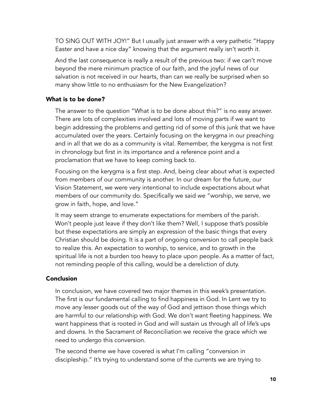TO SING OUT WITH JOY!" But I usually just answer with a very pathetic "Happy Easter and have a nice day" knowing that the argument really isn't worth it.

And the last consequence is really a result of the previous two: if we can't move beyond the mere minimum practice of our faith, and the joyful news of our salvation is not received in our hearts, than can we really be surprised when so many show little to no enthusiasm for the New Evangelization?

#### What is to be done?

The answer to the question "What is to be done about this?" is no easy answer. There are lots of complexities involved and lots of moving parts if we want to begin addressing the problems and getting rid of some of this junk that we have accumulated over the years. Certainly focusing on the kerygma in our preaching and in all that we do as a community is vital. Remember, the kerygma is not first in chronology but first in its importance and a reference point and a proclamation that we have to keep coming back to.

Focusing on the kerygma is a first step. And, being clear about what is expected from members of our community is another. In our dream for the future, our Vision Statement, we were very intentional to include expectations about what members of our community do. Specifically we said we "worship, we serve, we grow in faith, hope, and love."

It may seem strange to enumerate expectations for members of the parish. Won't people just leave if they don't like them? Well, I suppose that's possible but these expectations are simply an expression of the basic things that every Christian should be doing. It is a part of ongoing conversion to call people back to realize this. An expectation to worship, to service, and to growth in the spiritual life is not a burden too heavy to place upon people. As a matter of fact, not reminding people of this calling, would be a dereliction of duty.

#### Conclusion

In conclusion, we have covered two major themes in this week's presentation. The first is our fundamental calling to find happiness in God. In Lent we try to move any lesser goods out of the way of God and jettison those things which are harmful to our relationship with God. We don't want fleeting happiness. We want happiness that is rooted in God and will sustain us through all of life's ups and downs. In the Sacrament of Reconciliation we receive the grace which we need to undergo this conversion.

The second theme we have covered is what I'm calling "conversion in discipleship." It's trying to understand some of the currents we are trying to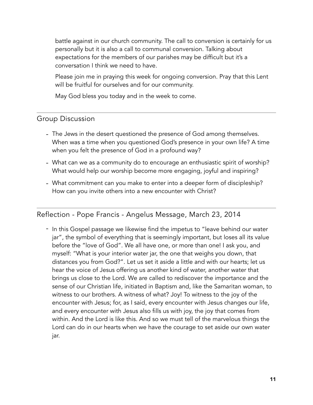battle against in our church community. The call to conversion is certainly for us personally but it is also a call to communal conversion. Talking about expectations for the members of our parishes may be difficult but it's a conversation I think we need to have.

Please join me in praying this week for ongoing conversion. Pray that this Lent will be fruitful for ourselves and for our community.

May God bless you today and in the week to come.

## Group Discussion

- The Jews in the desert questioned the presence of God among themselves. When was a time when you questioned God's presence in your own life? A time when you felt the presence of God in a profound way?
- What can we as a community do to encourage an enthusiastic spirit of worship? What would help our worship become more engaging, joyful and inspiring?
- What commitment can you make to enter into a deeper form of discipleship? How can you invite others into a new encounter with Christ?

# Reflection - Pope Francis - Angelus Message, March 23, 2014

- In this Gospel passage we likewise find the impetus to "leave behind our water jar", the symbol of everything that is seemingly important, but loses all its value before the "love of God". We all have one, or more than one! I ask you, and myself: "What is your interior water jar, the one that weighs you down, that distances you from God?". Let us set it aside a little and with our hearts; let us hear the voice of Jesus offering us another kind of water, another water that brings us close to the Lord. We are called to rediscover the importance and the sense of our Christian life, initiated in Baptism and, like the Samaritan woman, to witness to our brothers. A witness of what? Joy! To witness to the joy of the encounter with Jesus; for, as I said, every encounter with Jesus changes our life, and every encounter with Jesus also fills us with joy, the joy that comes from within. And the Lord is like this. And so we must tell of the marvelous things the Lord can do in our hearts when we have the courage to set aside our own water jar.